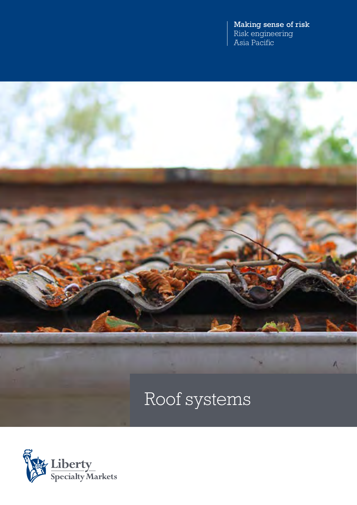Making sense of risk Risk engineering Asia Pacific



Roof systems

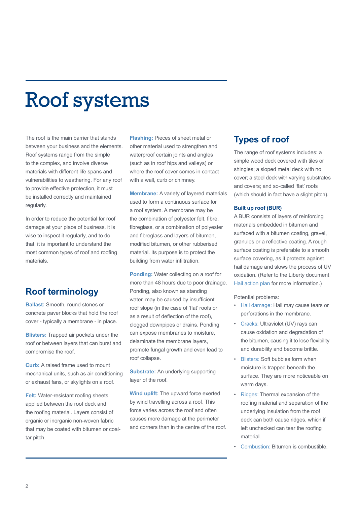# Roof systems

The roof is the main barrier that stands between your business and the elements. Roof systems range from the simple to the complex, and involve diverse materials with different life spans and vulnerabilities to weathering. For any roof to provide effective protection, it must be installed correctly and maintained regularly.

In order to reduce the potential for roof damage at your place of business, it is wise to inspect it regularly, and to do that, it is important to understand the most common types of roof and roofing materials.

## **Roof terminology**

**Ballast:** Smooth, round stones or concrete paver blocks that hold the roof cover - typically a membrane - in place.

**Blisters:** Trapped air pockets under the roof or between layers that can burst and compromise the roof.

**Curb:** A raised frame used to mount mechanical units, such as air conditioning or exhaust fans, or skylights on a roof.

**Felt:** Water-resistant roofing sheets applied between the roof deck and the roofing material. Layers consist of organic or inorganic non-woven fabric that may be coated with bitumen or coaltar pitch.

**Flashing:** Pieces of sheet metal or other material used to strengthen and waterproof certain joints and angles (such as in roof hips and valleys) or where the roof cover comes in contact with a wall, curb or chimney.

**Membrane:** A variety of layered materials used to form a continuous surface for a roof system. A membrane may be the combination of polyester felt, fibre, fibreglass, or a combination of polyester and fibreglass and layers of bitumen, modified bitumen, or other rubberised material. Its purpose is to protect the building from water infiltration.

**Ponding:** Water collecting on a roof for more than 48 hours due to poor drainage. Ponding, also known as standing water, may be caused by insufficient roof slope (in the case of 'flat' roofs or as a result of deflection of the roof), clogged downpipes or drains. Ponding can expose membranes to moisture, delaminate the membrane layers, promote fungal growth and even lead to roof collapse.

**Substrate:** An underlying supporting layer of the roof.

**Wind uplift:** The upward force exerted by wind travelling across a roof. This force varies across the roof and often causes more damage at the perimeter and corners than in the centre of the roof.

## **Types of roof**

The range of roof systems includes: a simple wood deck covered with tiles or shingles; a sloped metal deck with no cover; a steel deck with varying substrates and covers; and so-called 'flat' roofs (which should in fact have a slight pitch).

#### **Built up roof (BUR)**

A BUR consists of layers of reinforcing materials embedded in bitumen and surfaced with a bitumen coating, gravel, granules or a reflective coating. A rough surface coating is preferable to a smooth surface covering, as it protects against hail damage and slows the process of UV oxidation. (Refer to the Liberty document Hail action plan for more information.)

Potential problems:

- Hail damage: Hail may cause tears or perforations in the membrane.
- Cracks: Ultraviolet (UV) rays can cause oxidation and degradation of the bitumen, causing it to lose flexibility and durability and become brittle.
- **Blisters: Soft bubbles form when** moisture is trapped beneath the surface. They are more noticeable on warm days.
- Ridges: Thermal expansion of the roofing material and separation of the underlying insulation from the roof deck can both cause ridges, which if left unchecked can tear the roofing material.
- Combustion: Bitumen is combustible.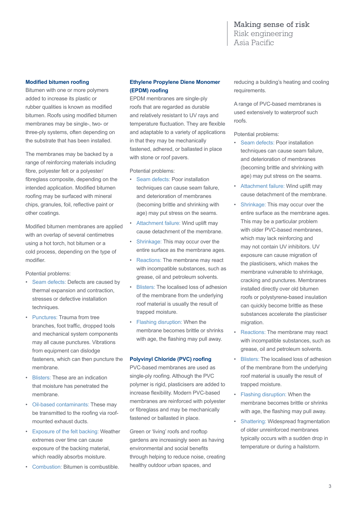#### Making sense of risk Risk engineering Asia Pacific

#### **Modified bitumen roofing**

Bitumen with one or more polymers added to increase its plastic or rubber qualities is known as modified bitumen. Roofs using modified bitumen membranes may be single-, two- or three-ply systems, often depending on the substrate that has been installed.

The membranes may be backed by a range of reinforcing materials including fibre, polyester felt or a polyester/ fibreglass composite, depending on the intended application. Modified bitumen roofing may be surfaced with mineral chips, granules, foil, reflective paint or other coatings.

Modified bitumen membranes are applied with an overlap of several centimetres using a hot torch, hot bitumen or a cold process, depending on the type of modifier.

Potential problems:

- Seam defects: Defects are caused by thermal expansion and contraction, stresses or defective installation techniques.
- Punctures: Trauma from tree branches, foot traffic, dropped tools and mechanical system components may all cause punctures. Vibrations from equipment can dislodge fasteners, which can then puncture the membrane.
- Blisters: These are an indication that moisture has penetrated the membrane.
- Oil-based contaminants: These may be transmitted to the roofing via roofmounted exhaust ducts.
- Exposure of the felt backing: Weather extremes over time can cause exposure of the backing material, which readily absorbs moisture.
- Combustion: Bitumen is combustible.

#### **Ethylene Propylene Diene Monomer (EPDM) roofing**

EPDM membranes are single-ply roofs that are regarded as durable and relatively resistant to UV rays and temperature fluctuation. They are flexible and adaptable to a variety of applications in that they may be mechanically fastened, adhered, or ballasted in place with stone or roof pavers.

Potential problems:

- Seam defects: Poor installation techniques can cause seam failure, and deterioration of membranes (becoming brittle and shrinking with age) may put stress on the seams.
- Attachment failure: Wind uplift may cause detachment of the membrane.
- Shrinkage: This may occur over the entire surface as the membrane ages.
- Reactions: The membrane may react with incompatible substances, such as grease, oil and petroleum solvents.
- Blisters: The localised loss of adhesion of the membrane from the underlying roof material is usually the result of trapped moisture.
- Flashing disruption: When the membrane becomes brittle or shrinks with age, the flashing may pull away.

#### **Polyvinyl Chloride (PVC) roofing**

PVC-based membranes are used as single-ply roofing. Although the PVC polymer is rigid, plasticisers are added to increase flexibility. Modern PVC-based membranes are reinforced with polyester or fibreglass and may be mechanically fastened or ballasted in place.

Green or 'living' roofs and rooftop gardens are increasingly seen as having environmental and social benefits through helping to reduce noise, creating healthy outdoor urban spaces, and

reducing a building's heating and cooling requirements.

A range of PVC-based membranes is used extensively to waterproof such roofs.

Potential problems:

- Seam defects: Poor installation techniques can cause seam failure, and deterioration of membranes (becoming brittle and shrinking with age) may put stress on the seams.
- Attachment failure: Wind uplift may cause detachment of the membrane.
- Shrinkage: This may occur over the entire surface as the membrane ages. This may be a particular problem with older PVC-based membranes, which may lack reinforcing and may not contain UV inhibitors. UV exposure can cause migration of the plasticisers, which makes the membrane vulnerable to shrinkage, cracking and punctures. Membranes installed directly over old bitumen roofs or polystyrene-based insulation can quickly become brittle as these substances accelerate the plasticiser migration.
- Reactions: The membrane may react with incompatible substances, such as grease, oil and petroleum solvents.
- Blisters: The localised loss of adhesion of the membrane from the underlying roof material is usually the result of trapped moisture.
- Flashing disruption: When the membrane becomes brittle or shrinks with age, the flashing may pull away.
- Shattering: Widespread fragmentation of older unreinforced membranes typically occurs with a sudden drop in temperature or during a hailstorm.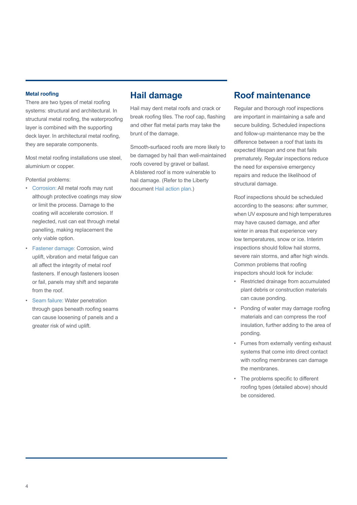#### **Metal roofing**

There are two types of metal roofing systems: structural and architectural. In structural metal roofing, the waterproofing layer is combined with the supporting deck layer. In architectural metal roofing, they are separate components.

Most metal roofing installations use steel, aluminium or copper.

Potential problems:

- Corrosion: All metal roofs may rust although protective coatings may slow or limit the process. Damage to the coating will accelerate corrosion. If neglected, rust can eat through metal panelling, making replacement the only viable option.
- Fastener damage: Corrosion, wind uplift, vibration and metal fatigue can all affect the integrity of metal roof fasteners. If enough fasteners loosen or fail, panels may shift and separate from the roof.
- Seam failure: Water penetration through gaps beneath roofing seams can cause loosening of panels and a greater risk of wind uplift.

## **Hail damage**

Hail may dent metal roofs and crack or break roofing tiles. The roof cap, flashing and other flat metal parts may take the brunt of the damage.

Smooth-surfaced roofs are more likely to be damaged by hail than well-maintained roofs covered by gravel or ballast. A blistered roof is more vulnerable to hail damage. (Refer to the Liberty document Hail action plan.)

### **Roof maintenance**

Regular and thorough roof inspections are important in maintaining a safe and secure building. Scheduled inspections and follow-up maintenance may be the difference between a roof that lasts its expected lifespan and one that fails prematurely. Regular inspections reduce the need for expensive emergency repairs and reduce the likelihood of structural damage.

Roof inspections should be scheduled according to the seasons: after summer, when UV exposure and high temperatures may have caused damage, and after winter in areas that experience very low temperatures, snow or ice. Interim inspections should follow hail storms, severe rain storms, and after high winds. Common problems that roofing inspectors should look for include:

- Restricted drainage from accumulated plant debris or construction materials can cause ponding.
- Ponding of water may damage roofing materials and can compress the roof insulation, further adding to the area of ponding.
- Fumes from externally venting exhaust systems that come into direct contact with roofing membranes can damage the membranes.
- The problems specific to different roofing types (detailed above) should be considered.